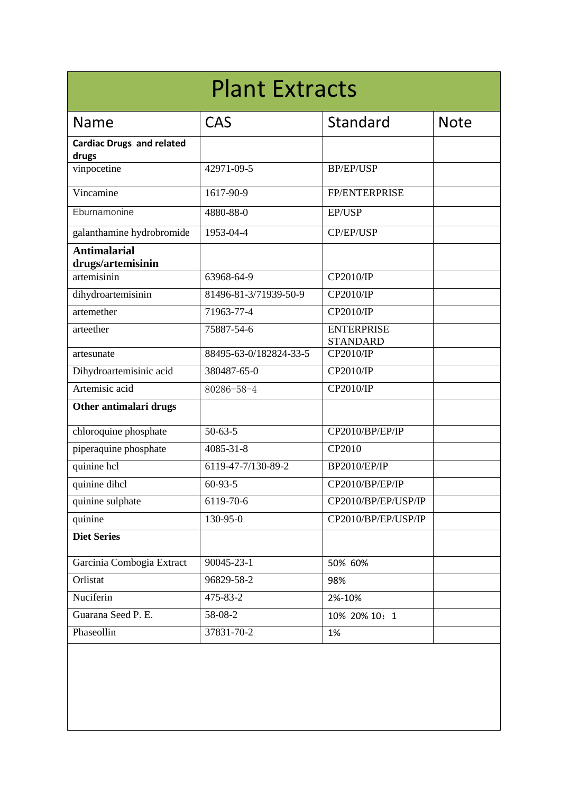| <b>Plant Extracts</b>                     |                        |                                      |             |  |  |
|-------------------------------------------|------------------------|--------------------------------------|-------------|--|--|
| Name                                      | <b>CAS</b>             | Standard                             | <b>Note</b> |  |  |
| <b>Cardiac Drugs and related</b><br>drugs |                        |                                      |             |  |  |
| vinpocetine                               | 42971-09-5             | <b>BP/EP/USP</b>                     |             |  |  |
| Vincamine                                 | 1617-90-9              | <b>FP/ENTERPRISE</b>                 |             |  |  |
| Eburnamonine                              | 4880-88-0              | EP/USP                               |             |  |  |
| galanthamine hydrobromide                 | 1953-04-4              | CP/EP/USP                            |             |  |  |
| <b>Antimalarial</b><br>drugs/artemisinin  |                        |                                      |             |  |  |
| artemisinin                               | 63968-64-9             | CP2010/IP                            |             |  |  |
| dihydroartemisinin                        | 81496-81-3/71939-50-9  | CP2010/IP                            |             |  |  |
| artemether                                | 71963-77-4             | CP2010/IP                            |             |  |  |
| arteether                                 | 75887-54-6             | <b>ENTERPRISE</b><br><b>STANDARD</b> |             |  |  |
| artesunate                                | 88495-63-0/182824-33-5 | CP2010/IP                            |             |  |  |
| Dihydroartemisinic acid                   | 380487-65-0            | CP2010/IP                            |             |  |  |
| Artemisic acid                            | 80286-58-4             | CP2010/IP                            |             |  |  |
| Other antimalari drugs                    |                        |                                      |             |  |  |
| chloroquine phosphate                     | $50 - 63 - 5$          | CP2010/BP/EP/IP                      |             |  |  |
| piperaquine phosphate                     | 4085-31-8              | CP2010                               |             |  |  |
| quinine hcl                               | 6119-47-7/130-89-2     | BP2010/EP/IP                         |             |  |  |
| quinine dihcl                             | $60-93-5$              | CP2010/BP/EP/IP                      |             |  |  |
| quinine sulphate                          | 6119-70-6              | CP2010/BP/EP/USP/IP                  |             |  |  |
| quinine                                   | 130-95-0               | CP2010/BP/EP/USP/IP                  |             |  |  |
| <b>Diet Series</b>                        |                        |                                      |             |  |  |
| Garcinia Combogia Extract                 | 90045-23-1             | 50% 60%                              |             |  |  |
| Orlistat                                  | 96829-58-2             | 98%                                  |             |  |  |
| Nuciferin                                 | $475 - 83 - 2$         | 2%-10%                               |             |  |  |
| Guarana Seed P. E.                        | 58-08-2                | 10% 20% 10: 1                        |             |  |  |
| Phaseollin                                | 37831-70-2             | 1%                                   |             |  |  |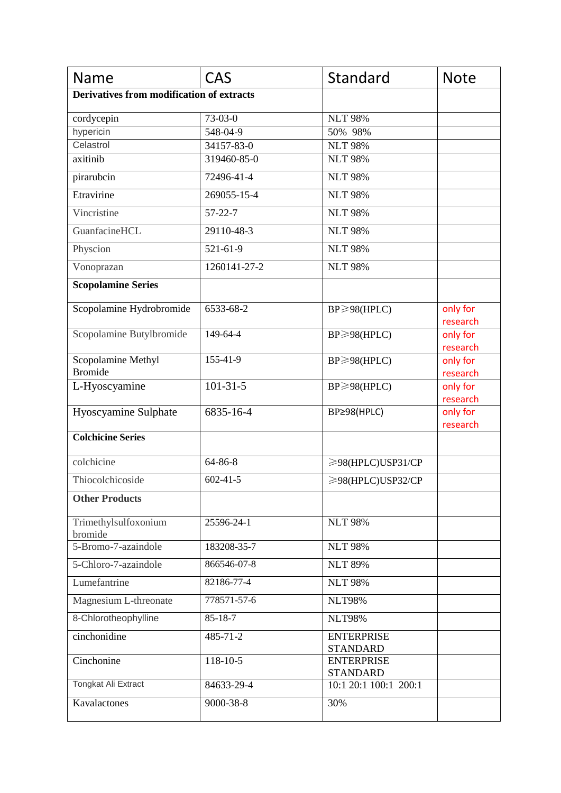| <b>Name</b>                                      | <b>CAS</b>     | Standard                             | <b>Note</b>          |
|--------------------------------------------------|----------------|--------------------------------------|----------------------|
| <b>Derivatives from modification of extracts</b> |                |                                      |                      |
| cordycepin                                       | $73-03-0$      | <b>NLT 98%</b>                       |                      |
| hypericin                                        | $548-04-9$     | 50% 98%                              |                      |
| Celastrol                                        | 34157-83-0     | <b>NLT 98%</b>                       |                      |
| axitinib                                         | 319460-85-0    | <b>NLT 98%</b>                       |                      |
| pirarubcin                                       | 72496-41-4     | <b>NLT 98%</b>                       |                      |
| Etravirine                                       | 269055-15-4    | <b>NLT 98%</b>                       |                      |
| Vincristine                                      | $57 - 22 - 7$  | <b>NLT 98%</b>                       |                      |
| GuanfacineHCL                                    | 29110-48-3     | <b>NLT 98%</b>                       |                      |
| Physcion                                         | $521 - 61 - 9$ | <b>NLT 98%</b>                       |                      |
| Vonoprazan                                       | 1260141-27-2   | <b>NLT 98%</b>                       |                      |
| <b>Scopolamine Series</b>                        |                |                                      |                      |
| Scopolamine Hydrobromide                         | 6533-68-2      | $BP \geq 98$ (HPLC)                  | only for<br>research |
| Scopolamine Butylbromide                         | $149 - 64 - 4$ | $BP \geq 98(HPLC)$                   | only for<br>research |
| Scopolamine Methyl<br><b>Bromide</b>             | $155-41-9$     | $BP \geq 98(HPLC)$                   | only for<br>research |
| L-Hyoscyamine                                    | $101 - 31 - 5$ | $BP \geq 98(HPLC)$                   | only for<br>research |
| Hyoscyamine Sulphate                             | 6835-16-4      | BP≥98(HPLC)                          | only for<br>research |
| <b>Colchicine Series</b>                         |                |                                      |                      |
| colchicine                                       | 64-86-8        | $\geq$ 98(HPLC)USP31/CP              |                      |
| Thiocolchicoside                                 | $602 - 41 - 5$ | ≥98(HPLC)USP32/CP                    |                      |
| <b>Other Products</b>                            |                |                                      |                      |
| Trimethylsulfoxonium<br>bromide                  | 25596-24-1     | <b>NLT 98%</b>                       |                      |
| 5-Bromo-7-azaindole                              | 183208-35-7    | <b>NLT 98%</b>                       |                      |
| 5-Chloro-7-azaindole                             | 866546-07-8    | <b>NLT 89%</b>                       |                      |
| Lumefantrine                                     | 82186-77-4     | <b>NLT 98%</b>                       |                      |
| Magnesium L-threonate                            | 778571-57-6    | <b>NLT98%</b>                        |                      |
| 8-Chlorotheophylline                             | $85 - 18 - 7$  | <b>NLT98%</b>                        |                      |
| cinchonidine                                     | 485-71-2       | <b>ENTERPRISE</b><br><b>STANDARD</b> |                      |
| Cinchonine                                       | 118-10-5       | <b>ENTERPRISE</b><br><b>STANDARD</b> |                      |
| Tongkat Ali Extract                              | 84633-29-4     | 10:1 20:1 100:1 200:1                |                      |
| Kavalactones                                     | 9000-38-8      | 30%                                  |                      |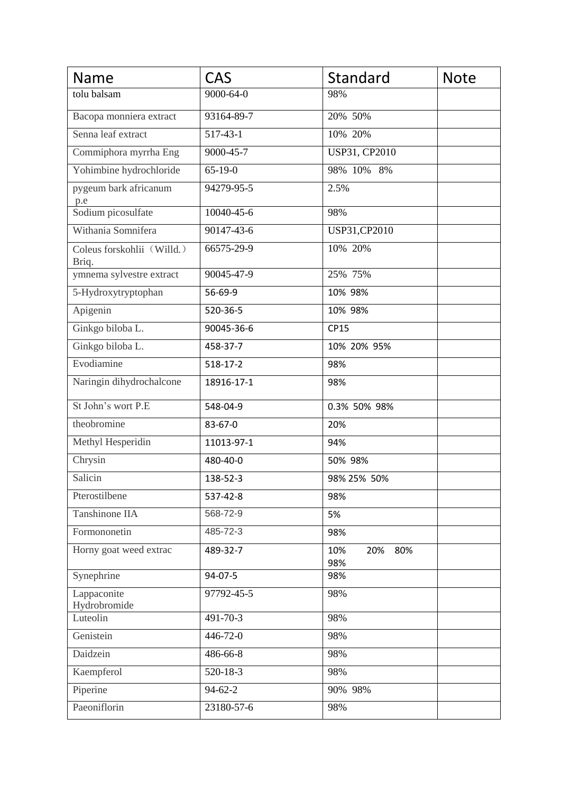| <b>Name</b>                         | <b>CAS</b>             | Standard                 | <b>Note</b> |
|-------------------------------------|------------------------|--------------------------|-------------|
| tolu balsam                         | 9000-64-0              | 98%                      |             |
| Bacopa monniera extract             | 93164-89-7             | 20% 50%                  |             |
| Senna leaf extract                  | $517 - 43 - 1$         | 10% 20%                  |             |
| Commiphora myrrha Eng               | 9000-45-7              | USP31, CP2010            |             |
| Yohimbine hydrochloride             | $65-19-0$              | 98% 10% 8%               |             |
| pygeum bark africanum<br>p.e        | 94279-95-5             | 2.5%                     |             |
| Sodium picosulfate                  | 10040-45-6             | 98%                      |             |
| Withania Somnifera                  | 90147-43-6             | USP31, CP2010            |             |
| Coleus forskohlii (Willd.)<br>Briq. | 66575-29-9             | 10% 20%                  |             |
| ymnema sylvestre extract            | 90045-47-9             | 25% 75%                  |             |
| 5-Hydroxytryptophan                 | 56-69-9                | 10% 98%                  |             |
| Apigenin                            | 520-36-5               | 10% 98%                  |             |
| Ginkgo biloba L.                    | 90045-36-6             | <b>CP15</b>              |             |
| Ginkgo biloba L.                    | 458-37-7               | 10% 20% 95%              |             |
| Evodiamine                          | 518-17-2               | 98%                      |             |
| Naringin dihydrochalcone            | 18916-17-1             | 98%                      |             |
| St John's wort P.E                  | 548-04-9               | 0.3% 50% 98%             |             |
| theobromine                         | 83-67-0                | 20%                      |             |
| Methyl Hesperidin                   | 11013-97-1             | 94%                      |             |
| Chrysin                             | 480-40-0               | 50% 98%                  |             |
| Salicin                             | 138-52-3               | 98% 25% 50%              |             |
| Pterostilbene                       | 537-42-8               | 98%                      |             |
| Tanshinone IIA                      | 568-72-9               | 5%                       |             |
| Formononetin                        | 485-72-3               | 98%                      |             |
| Horny goat weed extrac              | 489-32-7               | 10%<br>20%<br>80%<br>98% |             |
| Synephrine                          | 94-07-5                | 98%                      |             |
| Lappaconite<br>Hydrobromide         | 97792-45-5             | 98%                      |             |
| Luteolin                            | 491-70-3               | 98%                      |             |
| Genistein                           | 446-72-0               | 98%                      |             |
| Daidzein                            | 486-66-8               | 98%                      |             |
| Kaempferol                          | $\overline{520}$ -18-3 | 98%                      |             |
| Piperine                            | $94 - 62 - 2$          | 90% 98%                  |             |
| Paeoniflorin                        | 23180-57-6             | 98%                      |             |